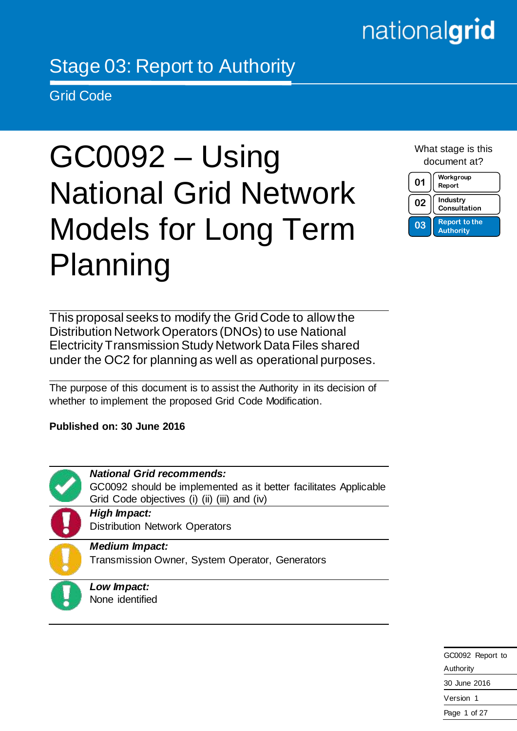# nationalgrid

# Stage 03: Report to Authority

Grid Code

# GC0092 – Using National Grid Network Models for Long Term Planning

What stage is this document at?

| 01 | Workgroup<br>Report                      |  |
|----|------------------------------------------|--|
| 02 | Industry<br>Consultation                 |  |
| 03 | <b>Report to the</b><br><b>Authority</b> |  |

This proposal seeks to modify the Grid Code to allow the Distribution Network Operators (DNOs) to use National Electricity Transmission Study Network Data Files shared under the OC2 for planning as well as operational purposes.

The purpose of this document is to assist the Authority in its decision of whether to implement the proposed Grid Code Modification.

**Published on: 30 June 2016**



*National Grid recommends:*

GC0092 should be implemented as it better facilitates Applicable Grid Code objectives (i) (ii) (iii) and (iv)

*High Impact:* Distribution Network Operators

*Medium Impact:*

Transmission Owner, System Operator, Generators

*Low Impact:* None identified

> GC0092 Report to Authority 30 June 2016 Version 1 Page 1 of 27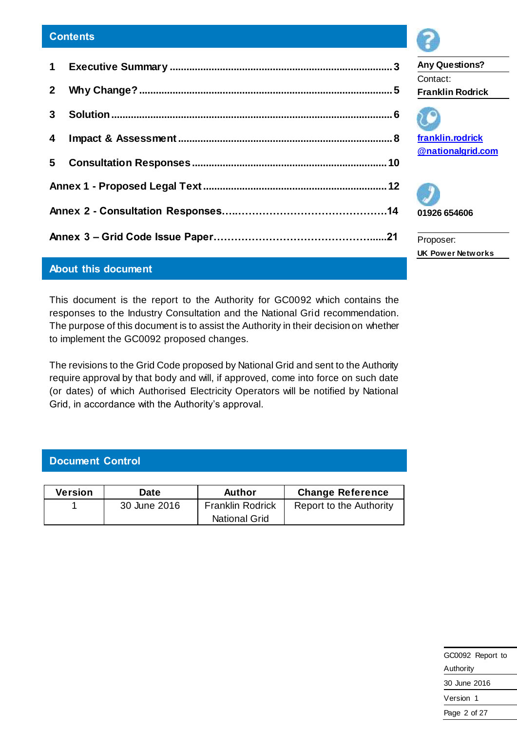# **About this document**

This document is the report to the Authority for GC0092 which contains the responses to the Industry Consultation and the National Grid recommendation. The purpose of this document is to assist the Authority in their decision on whether to implement the GC0092 proposed changes.

The revisions to the Grid Code proposed by National Grid and sent to the Authority require approval by that body and will, if approved, come into force on such date (or dates) of which Authorised Electricity Operators will be notified by National Grid, in accordance with the Authority's approval.

# **Document Control**

| Version | <b>Date</b>  | Author                  | <b>Change Reference</b> |  |
|---------|--------------|-------------------------|-------------------------|--|
|         | 30 June 2016 | <b>Franklin Rodrick</b> | Report to the Authority |  |
|         |              | <b>National Grid</b>    |                         |  |



**Any Questions?** Contact: **Franklin Rodrick**



**[franklin.rodrick](mailto:franklin.rodrick@nationalgrid.com) [@nationalgrid.com](mailto:franklin.rodrick@nationalgrid.com)**



Proposer: **UK Power Networks**

| GC0092 Report to |  |  |
|------------------|--|--|
| Authority        |  |  |
| 30 June 2016     |  |  |
| Version 1        |  |  |
| Page 2 of 27     |  |  |
|                  |  |  |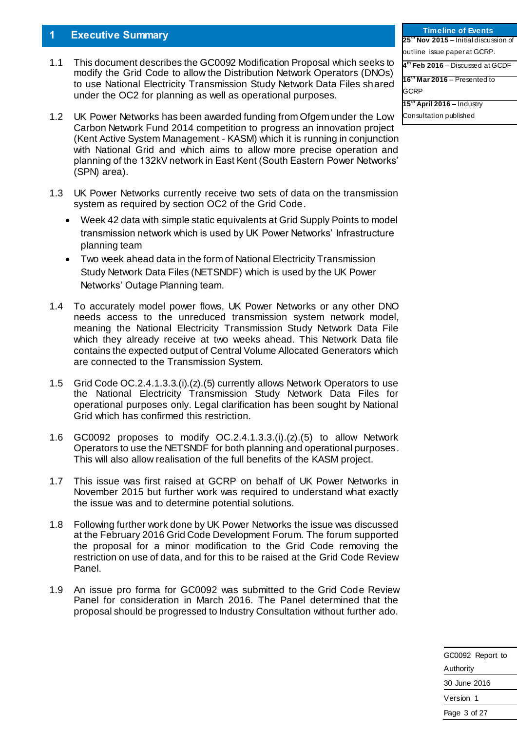#### <span id="page-2-0"></span>**1 Executive Summary**

- 1.1 This document describes the GC0092 Modification Proposal which seeks to modify the Grid Code to allow the Distribution Network Operators (DNOs) to use National Electricity Transmission Study Network Data Files shared under the OC2 for planning as well as operational purposes.
- 1.2 UK Power Networks has been awarded funding from Ofgem under the Low Carbon Network Fund 2014 competition to progress an innovation project (Kent Active System Management - KASM) which it is running in conjunction with National Grid and which aims to allow more precise operation and planning of the 132kV network in East Kent (South Eastern Power Networks' (SPN) area).
- 1.3 UK Power Networks currently receive two sets of data on the transmission system as required by section OC2 of the Grid Code.
	- Week 42 data with simple static equivalents at Grid Supply Points to model transmission network which is used by UK Power Networks' Infrastructure planning team
	- Two week ahead data in the form of National Electricity Transmission Study Network Data Files (NETSNDF) which is used by the UK Power Networks' Outage Planning team.
- 1.4 To accurately model power flows, UK Power Networks or any other DNO needs access to the unreduced transmission system network model, meaning the National Electricity Transmission Study Network Data File which they already receive at two weeks ahead. This Network Data file contains the expected output of Central Volume Allocated Generators which are connected to the Transmission System.
- 1.5 Grid Code OC.2.4.1.3.3.(i).(z).(5) currently allows Network Operators to use the National Electricity Transmission Study Network Data Files for operational purposes only. Legal clarification has been sought by National Grid which has confirmed this restriction.
- 1.6 GC0092 proposes to modify OC.2.4.1.3.3.(i).(z).(5) to allow Network Operators to use the NETSNDF for both planning and operational purposes. This will also allow realisation of the full benefits of the KASM project.
- 1.7 This issue was first raised at GCRP on behalf of UK Power Networks in November 2015 but further work was required to understand what exactly the issue was and to determine potential solutions.
- 1.8 Following further work done by UK Power Networks the issue was discussed at the February 2016 Grid Code Development Forum. The forum supported the proposal for a minor modification to the Grid Code removing the restriction on use of data, and for this to be raised at the Grid Code Review Panel.
- 1.9 An issue pro forma for GC0092 was submitted to the Grid Code Review Panel for consideration in March 2016. The Panel determined that the proposal should be progressed to Industry Consultation without further ado.

| GC0092 Report to |  |  |
|------------------|--|--|
| Authority        |  |  |
| 30 June 2016     |  |  |
| Version 1        |  |  |
| Page 3 of 27     |  |  |

**Timeline of Events 25th Nov 2015 –** Initial discussion of outline issue paper at GCRP. **4 th Feb 2016** – Discussed at GCDF **16th Mar 2016** – Presented to GCRP **15th April 2016 –** Industry Consultation published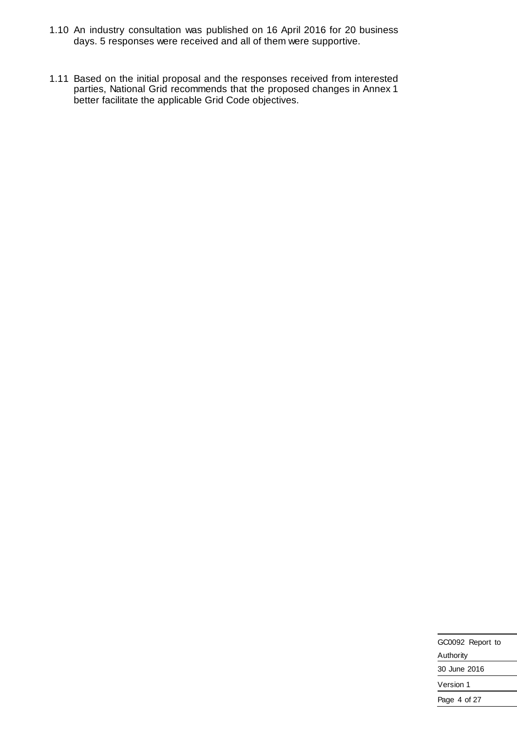- 1.10 An industry consultation was published on 16 April 2016 for 20 business days. 5 responses were received and all of them were supportive.
- 1.11 Based on the initial proposal and the responses received from interested parties, National Grid recommends that the proposed changes in Annex 1 better facilitate the applicable Grid Code objectives.

| GC0092 Report to |  |  |
|------------------|--|--|
| Authority        |  |  |
| 30 June 2016     |  |  |
| Version 1        |  |  |
| Page 4 of 27     |  |  |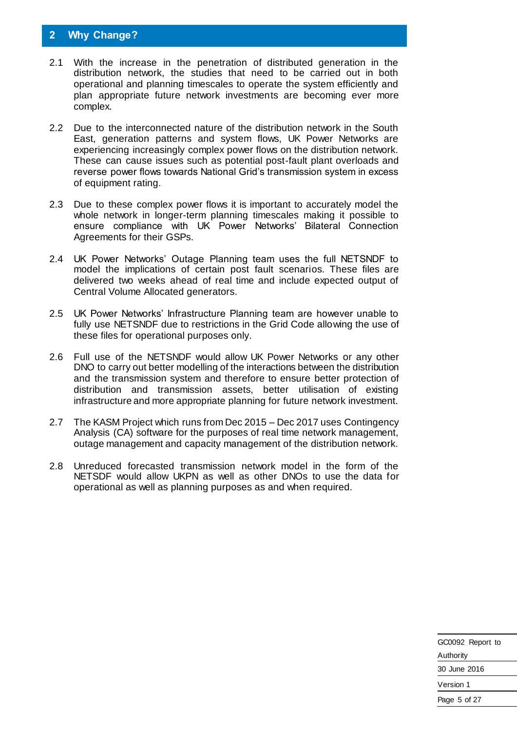## <span id="page-4-0"></span>**2 Why Change?**

- 2.1 With the increase in the penetration of distributed generation in the distribution network, the studies that need to be carried out in both operational and planning timescales to operate the system efficiently and plan appropriate future network investments are becoming ever more complex.
- 2.2 Due to the interconnected nature of the distribution network in the South East, generation patterns and system flows, UK Power Networks are experiencing increasingly complex power flows on the distribution network. These can cause issues such as potential post-fault plant overloads and reverse power flows towards National Grid's transmission system in excess of equipment rating.
- 2.3 Due to these complex power flows it is important to accurately model the whole network in longer-term planning timescales making it possible to ensure compliance with UK Power Networks' Bilateral Connection Agreements for their GSPs.
- 2.4 UK Power Networks' Outage Planning team uses the full NETSNDF to model the implications of certain post fault scenarios. These files are delivered two weeks ahead of real time and include expected output of Central Volume Allocated generators.
- 2.5 UK Power Networks' Infrastructure Planning team are however unable to fully use NETSNDF due to restrictions in the Grid Code allowing the use of these files for operational purposes only.
- 2.6 Full use of the NETSNDF would allow UK Power Networks or any other DNO to carry out better modelling of the interactions between the distribution and the transmission system and therefore to ensure better protection of distribution and transmission assets, better utilisation of existing infrastructure and more appropriate planning for future network investment.
- 2.7 The KASM Project which runs from Dec 2015 Dec 2017 uses Contingency Analysis (CA) software for the purposes of real time network management, outage management and capacity management of the distribution network.
- 2.8 Unreduced forecasted transmission network model in the form of the NETSDF would allow UKPN as well as other DNOs to use the data for operational as well as planning purposes as and when required.

| GC0092 Report to |  |  |
|------------------|--|--|
| Authority        |  |  |
| 30 June 2016     |  |  |
| Version 1        |  |  |
| Page 5 of 27     |  |  |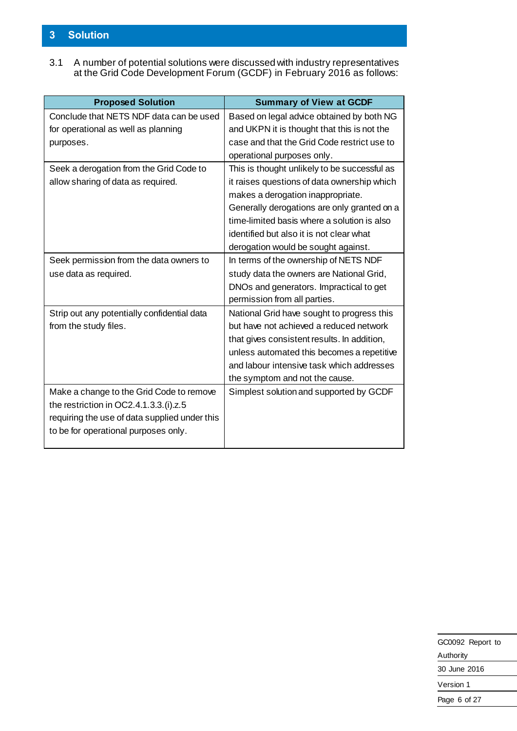# <span id="page-5-0"></span>**3 Solution**

3.1 A number of potential solutions were discussed with industry representatives at the Grid Code Development Forum (GCDF) in February 2016 as follows:

| <b>Proposed Solution</b>                      | <b>Summary of View at GCDF</b>               |
|-----------------------------------------------|----------------------------------------------|
| Conclude that NETS NDF data can be used       | Based on legal advice obtained by both NG    |
| for operational as well as planning           | and UKPN it is thought that this is not the  |
| purposes.                                     | case and that the Grid Code restrict use to  |
|                                               | operational purposes only.                   |
| Seek a derogation from the Grid Code to       | This is thought unlikely to be successful as |
| allow sharing of data as required.            | it raises questions of data ownership which  |
|                                               | makes a derogation inappropriate.            |
|                                               | Generally derogations are only granted on a  |
|                                               | time-limited basis where a solution is also  |
|                                               | identified but also it is not clear what     |
|                                               | derogation would be sought against.          |
| Seek permission from the data owners to       | In terms of the ownership of NETS NDF        |
| use data as required.                         | study data the owners are National Grid,     |
|                                               | DNOs and generators. Impractical to get      |
|                                               | permission from all parties.                 |
| Strip out any potentially confidential data   | National Grid have sought to progress this   |
| from the study files.                         | but have not achieved a reduced network      |
|                                               | that gives consistent results. In addition,  |
|                                               | unless automated this becomes a repetitive   |
|                                               | and labour intensive task which addresses    |
|                                               | the symptom and not the cause.               |
| Make a change to the Grid Code to remove      | Simplest solution and supported by GCDF      |
| the restriction in OC2.4.1.3.3.(i).z.5        |                                              |
| requiring the use of data supplied under this |                                              |
| to be for operational purposes only.          |                                              |
|                                               |                                              |

| GC0092 Report to |  |  |
|------------------|--|--|
| Authority        |  |  |
| 30 June 2016     |  |  |
| Version 1        |  |  |
| Page 6 of 27     |  |  |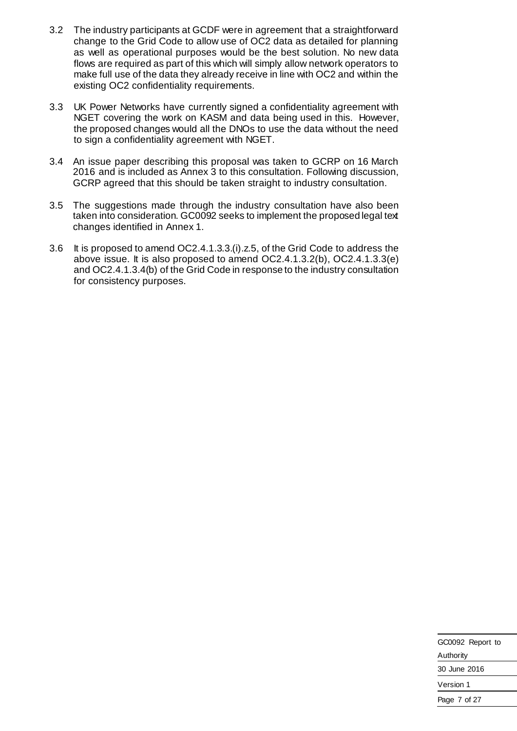- 3.2 The industry participants at GCDF were in agreement that a straightforward change to the Grid Code to allow use of OC2 data as detailed for planning as well as operational purposes would be the best solution. No new data flows are required as part of this which will simply allow network operators to make full use of the data they already receive in line with OC2 and within the existing OC2 confidentiality requirements.
- 3.3 UK Power Networks have currently signed a confidentiality agreement with NGET covering the work on KASM and data being used in this. However, the proposed changes would all the DNOs to use the data without the need to sign a confidentiality agreement with NGET.
- 3.4 An issue paper describing this proposal was taken to GCRP on 16 March 2016 and is included as Annex 3 to this consultation. Following discussion, GCRP agreed that this should be taken straight to industry consultation.
- 3.5 The suggestions made through the industry consultation have also been taken into consideration. GC0092 seeks to implement the proposed legal text changes identified in Annex 1.
- 3.6 It is proposed to amend OC2.4.1.3.3.(i).z.5, of the Grid Code to address the above issue. It is also proposed to amend OC2.4.1.3.2(b), OC2.4.1.3.3(e) and OC2.4.1.3.4(b) of the Grid Code in response to the industry consultation for consistency purposes.

| GC0092 Report to |  |  |
|------------------|--|--|
| Authority        |  |  |
| 30 June 2016     |  |  |
| Version 1        |  |  |
| Page 7 of 27     |  |  |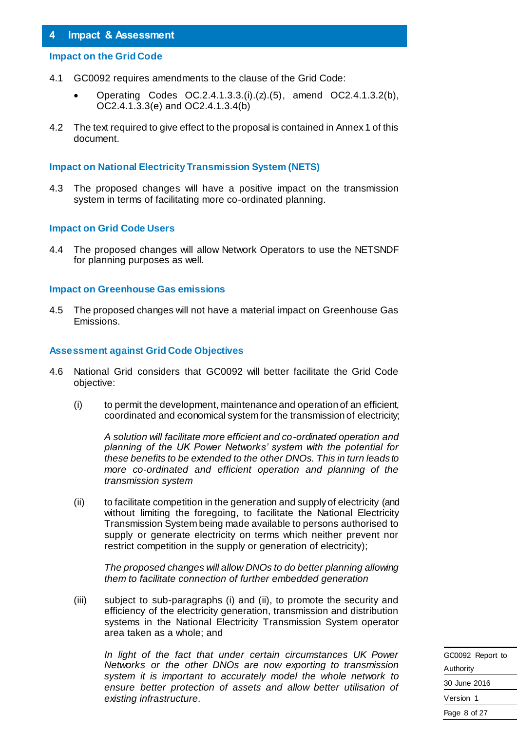#### <span id="page-7-0"></span>**4 Impact & Assessment**

#### **Impact on the Grid Code**

- 4.1 GC0092 requires amendments to the clause of the Grid Code:
	- Operating Codes OC.2.4.1.3.3.(i).(z).(5), amend OC2.4.1.3.2(b), OC2.4.1.3.3(e) and OC2.4.1.3.4(b)
- 4.2 The text required to give effect to the proposal is contained in Annex 1 of this document.

#### **Impact on National Electricity Transmission System (NETS)**

4.3 The proposed changes will have a positive impact on the transmission system in terms of facilitating more co-ordinated planning.

#### **Impact on Grid Code Users**

4.4 The proposed changes will allow Network Operators to use the NETSNDF for planning purposes as well.

#### **Impact on Greenhouse Gas emissions**

4.5 The proposed changes will not have a material impact on Greenhouse Gas Emissions.

#### **Assessment against Grid Code Objectives**

- 4.6 National Grid considers that GC0092 will better facilitate the Grid Code objective:
	- (i) to permit the development, maintenance and operation of an efficient, coordinated and economical system for the transmission of electricity;

*A solution will facilitate more efficient and co-ordinated operation and planning of the UK Power Networks' system with the potential for these benefits to be extended to the other DNOs. This in turn leads to more co-ordinated and efficient operation and planning of the transmission system*

(ii) to facilitate competition in the generation and supply of electricity (and without limiting the foregoing, to facilitate the National Electricity Transmission System being made available to persons authorised to supply or generate electricity on terms which neither prevent nor restrict competition in the supply or generation of electricity);

*The proposed changes will allow DNOs to do better planning allowing them to facilitate connection of further embedded generation*

(iii) subject to sub-paragraphs (i) and (ii), to promote the security and efficiency of the electricity generation, transmission and distribution systems in the National Electricity Transmission System operator area taken as a whole; and

*In light of the fact that under certain circumstances UK Power Networks or the other DNOs are now exporting to transmission system it is important to accurately model the whole network to ensure better protection of assets and allow better utilisation of existing infrastructure.* 

GC0092 Report to Authority 30 June 2016 Version 1 Page 8 of 27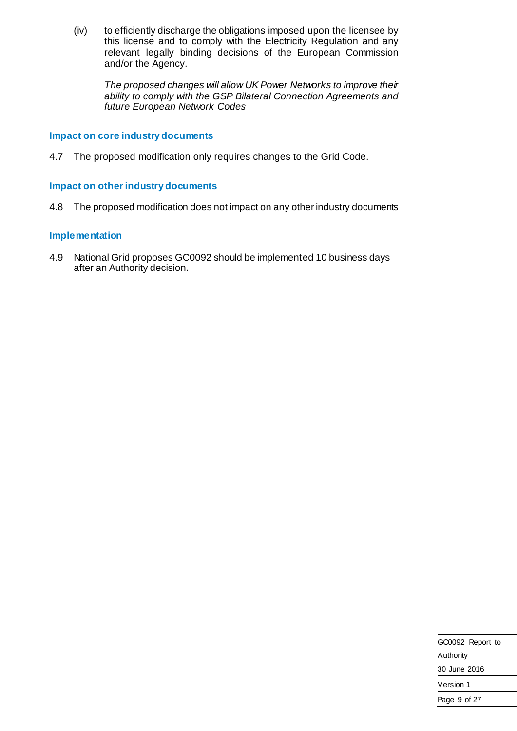(iv) to efficiently discharge the obligations imposed upon the licensee by this license and to comply with the Electricity Regulation and any relevant legally binding decisions of the European Commission and/or the Agency.

*The proposed changes will allow UK Power Networks to improve their ability to comply with the GSP Bilateral Connection Agreements and future European Network Codes*

#### **Impact on core industry documents**

4.7 The proposed modification only requires changes to the Grid Code.

#### **Impact on other industry documents**

4.8 The proposed modification does not impact on any other industry documents

#### **Implementation**

4.9 National Grid proposes GC0092 should be implemented 10 business days after an Authority decision.

| GC0092 Report to |  |  |
|------------------|--|--|
| Authority        |  |  |
| 30 June 2016     |  |  |
| Version 1        |  |  |
| Page 9 of 27     |  |  |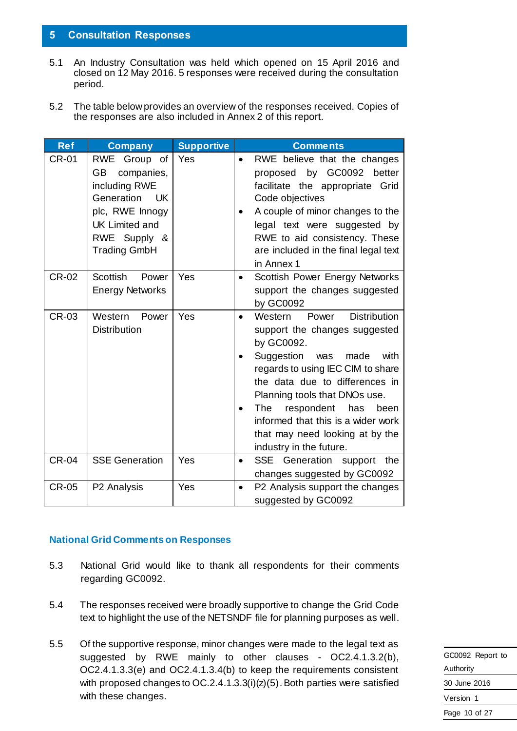#### <span id="page-9-0"></span>**5 Consultation Responses**

- 5.1 An Industry Consultation was held which opened on 15 April 2016 and closed on 12 May 2016. 5 responses were received during the consultation period.
- 5.2 The table below provides an overview of the responses received. Copies of the responses are also included in Annex 2 of this report.

| <b>Ref</b>   | <b>Company</b>                                                                                                                                                            | <b>Supportive</b> | <b>Comments</b>                                                                                                                                                                                                                                                                                                                                                                 |
|--------------|---------------------------------------------------------------------------------------------------------------------------------------------------------------------------|-------------------|---------------------------------------------------------------------------------------------------------------------------------------------------------------------------------------------------------------------------------------------------------------------------------------------------------------------------------------------------------------------------------|
| <b>CR-01</b> | <b>RWE</b><br>Group of<br>companies,<br><b>GB</b><br>including RWE<br>Generation<br>UK<br>plc, RWE Innogy<br><b>UK Limited and</b><br>RWE Supply &<br><b>Trading GmbH</b> | Yes               | RWE believe that the changes<br>proposed by GC0092 better<br>facilitate the appropriate Grid<br>Code objectives<br>A couple of minor changes to the<br>legal text were suggested by<br>RWE to aid consistency. These<br>are included in the final legal text<br>in Annex 1                                                                                                      |
| <b>CR-02</b> | <b>Scottish</b><br>Power<br><b>Energy Networks</b>                                                                                                                        | Yes               | Scottish Power Energy Networks<br>support the changes suggested<br>by GC0092                                                                                                                                                                                                                                                                                                    |
| <b>CR-03</b> | Western<br>Power<br><b>Distribution</b>                                                                                                                                   | Yes               | <b>Distribution</b><br>Power<br>Western<br>support the changes suggested<br>by GC0092.<br>Suggestion was<br>made<br>with<br>regards to using IEC CIM to share<br>the data due to differences in<br>Planning tools that DNOs use.<br><b>The</b><br>respondent<br>has<br>been<br>informed that this is a wider work<br>that may need looking at by the<br>industry in the future. |
| <b>CR-04</b> | <b>SSE Generation</b>                                                                                                                                                     | Yes               | SSE Generation support the<br>$\bullet$<br>changes suggested by GC0092                                                                                                                                                                                                                                                                                                          |
| <b>CR-05</b> | P2 Analysis                                                                                                                                                               | Yes               | P2 Analysis support the changes<br>suggested by GC0092                                                                                                                                                                                                                                                                                                                          |

#### **National Grid Comments on Responses**

- 5.3 National Grid would like to thank all respondents for their comments regarding GC0092.
- 5.4 The responses received were broadly supportive to change the Grid Code text to highlight the use of the NETSNDF file for planning purposes as well.
- 5.5 Of the supportive response, minor changes were made to the legal text as suggested by RWE mainly to other clauses - OC2.4.1.3.2(b), OC2.4.1.3.3(e) and OC2.4.1.3.4(b) to keep the requirements consistent with proposed changes to OC.2.4.1.3.3(i)(z)(5). Both parties were satisfied with these changes.

| GC0092 Report to |
|------------------|
| Authority        |
| 30 June 2016     |
| Version 1        |
| Page 10 of 27    |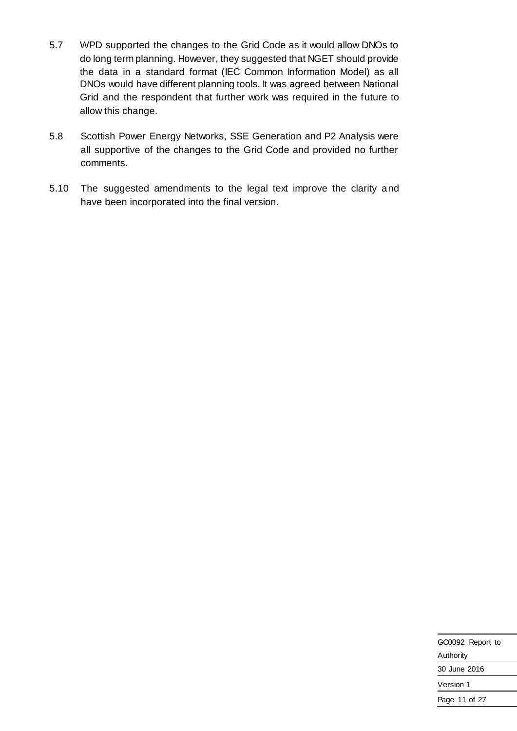- 5.7 WPD supported the changes to the Grid Code as it would allow DNOs to do long term planning. However, they suggested that NGET should provide the data in a standard format (IEC Common Information Model) as all DNOs would have different planning tools. It was agreed between National Grid and the respondent that further work was required in the future to allow this change.
- 5.8 Scottish Power Energy Networks, SSE Generation and P2 Analysis were all supportive of the changes to the Grid Code and provided no further comments.
- 5.10 The suggested amendments to the legal text improve the clarity and have been incorporated into the final version.

| GC0092 Report to |
|------------------|
| Authority        |
| 30 June 2016     |
| Version 1        |
| Page 11 of 27    |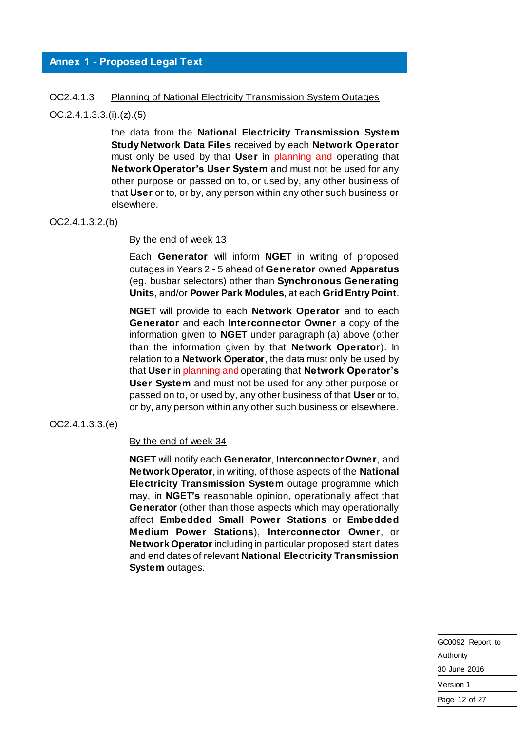#### <span id="page-11-0"></span>**Annex 1 - Proposed Legal Text**

#### OC2.4.1.3 Planning of National Electricity Transmission System Outages

OC.2.4.1.3.3.(i).(z).(5)

the data from the **National Electricity Transmission System Study Network Data Files** received by each **Network Operator** must only be used by that **User** in planning and operating that **Network Operator's User System** and must not be used for any other purpose or passed on to, or used by, any other business of that **User** or to, or by, any person within any other such business or elsewhere.

#### OC2.4.1.3.2.(b)

By the end of week 13

Each **Generator** will inform **NGET** in writing of proposed outages in Years 2 - 5 ahead of **Generator** owned **Apparatus** (eg. busbar selectors) other than **Synchronous Generating Units**, and/or **Power Park Modules**, at each **Grid Entry Point**.

**NGET** will provide to each **Network Operator** and to each **Generator** and each **Interconnector Owner** a copy of the information given to **NGET** under paragraph (a) above (other than the information given by that **Network Operator**). In relation to a **Network Operator**, the data must only be used by that **User** in planning and operating that **Network Operator's User System** and must not be used for any other purpose or passed on to, or used by, any other business of that **User** or to, or by, any person within any other such business or elsewhere.

#### OC2.4.1.3.3.(e)

#### By the end of week 34

**NGET** will notify each **Generator**, **Interconnector Owner**, and **Network Operator**, in writing, of those aspects of the **National Electricity Transmission System** outage programme which may, in **NGET's** reasonable opinion, operationally affect that **Generator** (other than those aspects which may operationally affect **Embedded Small Power Stations** or **Embedded Medium Power Stations**), **Interconnector Owner**, or **Network Operator** including in particular proposed start dates and end dates of relevant **National Electricity Transmission System** outages.

| GC0092 Report to |
|------------------|
| Authority        |
| 30 June 2016     |
| Version 1        |
| Page 12 of 27    |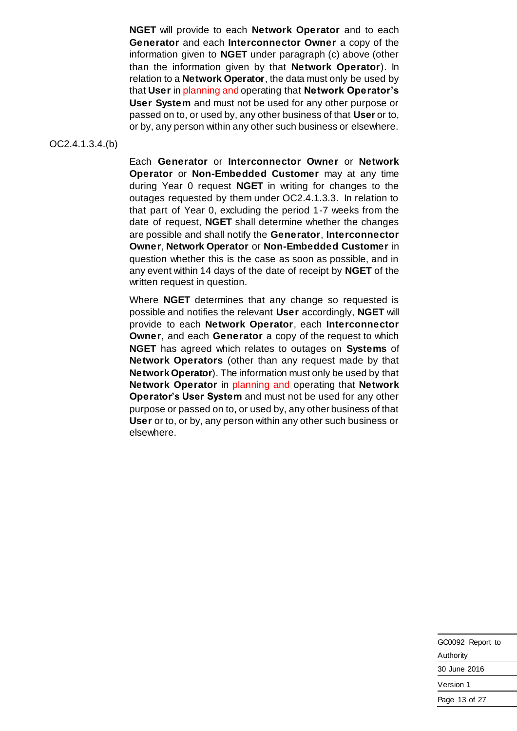**NGET** will provide to each **Network Operator** and to each **Generator** and each **Interconnector Owner** a copy of the information given to **NGET** under paragraph (c) above (other than the information given by that **Network Operator**). In relation to a **Network Operator**, the data must only be used by that **User** in planning and operating that **Network Operator's User System** and must not be used for any other purpose or passed on to, or used by, any other business of that **User** or to, or by, any person within any other such business or elsewhere.

OC2.4.1.3.4.(b)

Each **Generator** or **Interconnector Owner** or **Network Operator** or **Non-Embedded Customer** may at any time during Year 0 request **NGET** in writing for changes to the outages requested by them under OC2.4.1.3.3. In relation to that part of Year 0, excluding the period 1-7 weeks from the date of request, **NGET** shall determine whether the changes are possible and shall notify the **Generator**, **Interconnector Owner**, **Network Operator** or **Non-Embedded Customer** in question whether this is the case as soon as possible, and in any event within 14 days of the date of receipt by **NGET** of the written request in question.

Where **NGET** determines that any change so requested is possible and notifies the relevant **User** accordingly, **NGET** will provide to each **Network Operator**, each **Interconnector Owner**, and each **Generator** a copy of the request to which **NGET** has agreed which relates to outages on **Systems** of **Network Operators** (other than any request made by that **Network Operator**). The information must only be used by that **Network Operator** in planning and operating that **Network Operator's User System** and must not be used for any other purpose or passed on to, or used by, any other business of that **User** or to, or by, any person within any other such business or elsewhere.

| GC0092 Report to |
|------------------|
| Authority        |
| 30 June 2016     |
| Version 1        |
| Page 13 of 27    |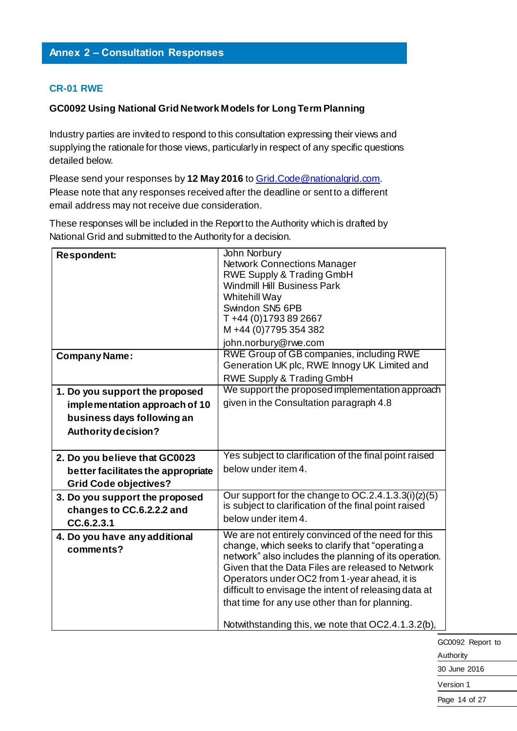#### **CR-01 RWE**

#### **GC0092 Using National Grid Network Models for Long Term Planning**

Industry parties are invited to respond to this consultation expressing their views and supplying the rationale for those views, particularly in respect of any specific questions detailed below.

Please send your responses by 12 May 2016 to **Grid. Code @nationalgrid.com.** Please note that any responses received after the deadline or sent to a different email address may not receive due consideration.

These responses will be included in the Report to the Authority which is drafted by National Grid and submitted to the Authority for a decision.

| <b>Respondent:</b>                                                        | John Norbury<br><b>Network Connections Manager</b><br><b>RWE Supply &amp; Trading GmbH</b><br><b>Windmill Hill Business Park</b><br>Whitehill Way<br>Swindon SN5 6PB<br>T+44 (0)1793 89 2667                                                                                                                                                                                                                                          |
|---------------------------------------------------------------------------|---------------------------------------------------------------------------------------------------------------------------------------------------------------------------------------------------------------------------------------------------------------------------------------------------------------------------------------------------------------------------------------------------------------------------------------|
|                                                                           | M+44 (0)7795 354 382<br>john.norbury@rwe.com                                                                                                                                                                                                                                                                                                                                                                                          |
| <b>Company Name:</b>                                                      | <b>RWE Group of GB companies, including RWE</b><br>Generation UK plc, RWE Innogy UK Limited and<br>RWE Supply & Trading GmbH                                                                                                                                                                                                                                                                                                          |
| 1. Do you support the proposed                                            | We support the proposed implementation approach                                                                                                                                                                                                                                                                                                                                                                                       |
| implementation approach of 10                                             | given in the Consultation paragraph 4.8                                                                                                                                                                                                                                                                                                                                                                                               |
| business days following an                                                |                                                                                                                                                                                                                                                                                                                                                                                                                                       |
| Authority decision?                                                       |                                                                                                                                                                                                                                                                                                                                                                                                                                       |
| 2. Do you believe that GC0023                                             | Yes subject to clarification of the final point raised                                                                                                                                                                                                                                                                                                                                                                                |
| better facilitates the appropriate<br><b>Grid Code objectives?</b>        | below under item 4.                                                                                                                                                                                                                                                                                                                                                                                                                   |
| 3. Do you support the proposed<br>changes to CC.6.2.2.2 and<br>CC.6.2.3.1 | Our support for the change to OC.2.4.1.3.3(i)(z)(5)<br>is subject to clarification of the final point raised<br>below under item 4.                                                                                                                                                                                                                                                                                                   |
| 4. Do you have any additional<br>comments?                                | We are not entirely convinced of the need for this<br>change, which seeks to clarify that "operating a<br>network" also includes the planning of its operation.<br>Given that the Data Files are released to Network<br>Operators under OC2 from 1-year ahead, it is<br>difficult to envisage the intent of releasing data at<br>that time for any use other than for planning.<br>Notwithstanding this, we note that OC2.4.1.3.2(b). |

GC0092 Report to Authority

30 June 2016

Version 1

Page 14 of 27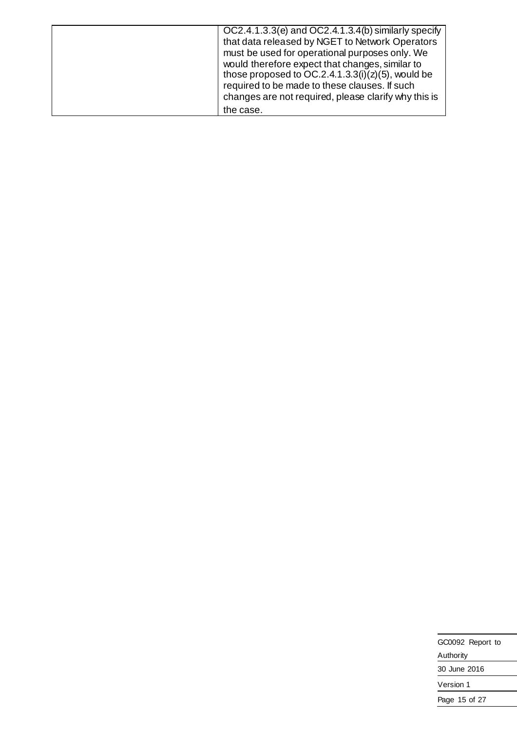| OC2.4.1.3.3(e) and OC2.4.1.3.4(b) similarly specify  |
|------------------------------------------------------|
| that data released by NGET to Network Operators      |
| must be used for operational purposes only. We       |
| would therefore expect that changes, similar to      |
| those proposed to $OC.2.4.1.3.3(i)(z)(5)$ , would be |
| required to be made to these clauses. If such        |
| changes are not required, please clarify why this is |
| the case.                                            |

| GC0092 Report to |  |
|------------------|--|
| Authority        |  |
| 30 June 2016     |  |
| Version 1        |  |
| Page 15 of 27    |  |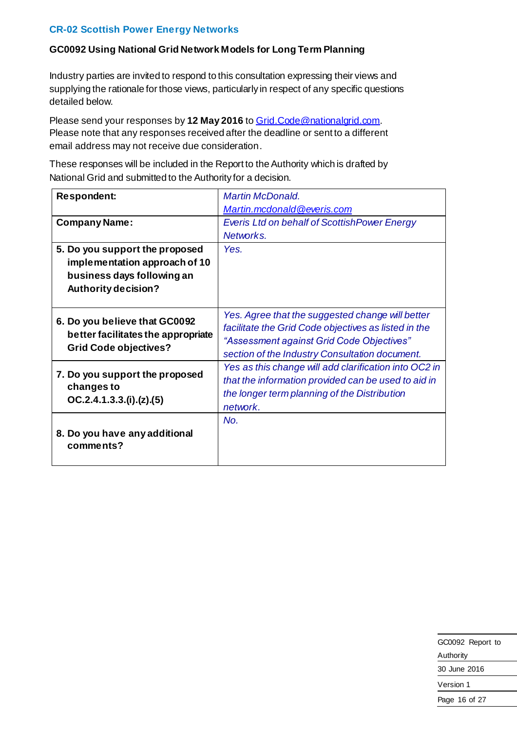### **CR-02 Scottish Power Energy Networks**

#### **GC0092 Using National Grid Network Models for Long Term Planning**

Industry parties are invited to respond to this consultation expressing their views and supplying the rationale for those views, particularly in respect of any specific questions detailed below.

Please send your responses by 12 May 2016 to Grid. Code @nationalgrid.com. Please note that any responses received after the deadline or sent to a different email address may not receive due consideration.

| <b>Respondent:</b>                 | <b>Martin McDonald.</b>                               |
|------------------------------------|-------------------------------------------------------|
|                                    | Martin.mcdonald@everis.com                            |
| <b>Company Name:</b>               | <b>Everis Ltd on behalf of ScottishPower Energy</b>   |
|                                    | Networks.                                             |
| 5. Do you support the proposed     | Yes.                                                  |
| implementation approach of 10      |                                                       |
| business days following an         |                                                       |
| Authority decision?                |                                                       |
|                                    |                                                       |
| 6. Do you believe that GC0092      | Yes. Agree that the suggested change will better      |
| better facilitates the appropriate | facilitate the Grid Code objectives as listed in the  |
| <b>Grid Code objectives?</b>       | "Assessment against Grid Code Objectives"             |
|                                    | section of the Industry Consultation document.        |
| 7. Do you support the proposed     | Yes as this change will add clarification into OC2 in |
| changes to                         | that the information provided can be used to aid in   |
| OC.2.4.1.3.3.(i). (z). (5)         | the longer term planning of the Distribution          |
|                                    | network.                                              |
|                                    | No.                                                   |
| 8. Do you have any additional      |                                                       |
| comments?                          |                                                       |
|                                    |                                                       |

| GC0092 Report to |
|------------------|
| Authority        |
| 30 June 2016     |
| Version 1        |
| Page 16 of 27    |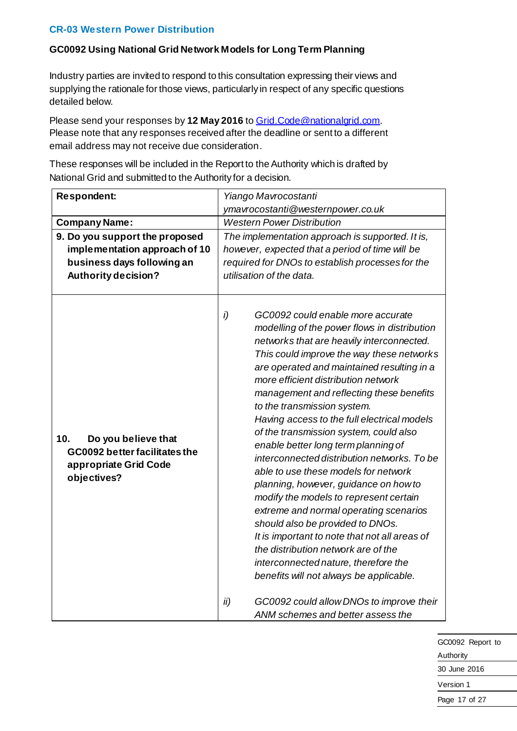#### **CR-03 Western Power Distribution**

### **GC0092 Using National Grid Network Models for Long Term Planning**

Industry parties are invited to respond to this consultation expressing their views and supplying the rationale for those views, particularly in respect of any specific questions detailed below.

Please send your responses by 12 May 2016 to Grid. Code @nationalgrid.com. Please note that any responses received after the deadline or sent to a different email address may not receive due consideration.

| <b>Respondent:</b>                                                                                                          | Yiango Mavrocostanti                                                                                                                                                                                                                                                                                                                                                                                                                                                                                                                                                                                                                                                                                                                                                                                                                                                                                                 |
|-----------------------------------------------------------------------------------------------------------------------------|----------------------------------------------------------------------------------------------------------------------------------------------------------------------------------------------------------------------------------------------------------------------------------------------------------------------------------------------------------------------------------------------------------------------------------------------------------------------------------------------------------------------------------------------------------------------------------------------------------------------------------------------------------------------------------------------------------------------------------------------------------------------------------------------------------------------------------------------------------------------------------------------------------------------|
|                                                                                                                             | ymavrocostanti@westernpower.co.uk                                                                                                                                                                                                                                                                                                                                                                                                                                                                                                                                                                                                                                                                                                                                                                                                                                                                                    |
| <b>Company Name:</b>                                                                                                        | <b>Western Power Distribution</b>                                                                                                                                                                                                                                                                                                                                                                                                                                                                                                                                                                                                                                                                                                                                                                                                                                                                                    |
| 9. Do you support the proposed<br>implementation approach of 10<br>business days following an<br><b>Authority decision?</b> | The implementation approach is supported. It is,<br>however, expected that a period of time will be<br>required for DNOs to establish processes for the<br>utilisation of the data.                                                                                                                                                                                                                                                                                                                                                                                                                                                                                                                                                                                                                                                                                                                                  |
| 10 <sub>1</sub><br>Do you believe that<br>GC0092 better facilitates the<br>appropriate Grid Code<br>objectives?             | i)<br>GC0092 could enable more accurate<br>modelling of the power flows in distribution<br>networks that are heavily interconnected.<br>This could improve the way these networks<br>are operated and maintained resulting in a<br>more efficient distribution network<br>management and reflecting these benefits<br>to the transmission system.<br>Having access to the full electrical models<br>of the transmission system, could also<br>enable better long term planning of<br>interconnected distribution networks. To be<br>able to use these models for network<br>planning, however, guidance on how to<br>modify the models to represent certain<br>extreme and normal operating scenarios<br>should also be provided to DNOs.<br>It is important to note that not all areas of<br>the distribution network are of the<br>interconnected nature, therefore the<br>benefits will not always be applicable. |
|                                                                                                                             | GC0092 could allow DNOs to improve their<br>ii)<br>ANM schemes and better assess the                                                                                                                                                                                                                                                                                                                                                                                                                                                                                                                                                                                                                                                                                                                                                                                                                                 |

| GC0092 Report to |  |
|------------------|--|
| Authority        |  |
| 30 June 2016     |  |
| Version 1        |  |
| Page 17 of 27    |  |
|                  |  |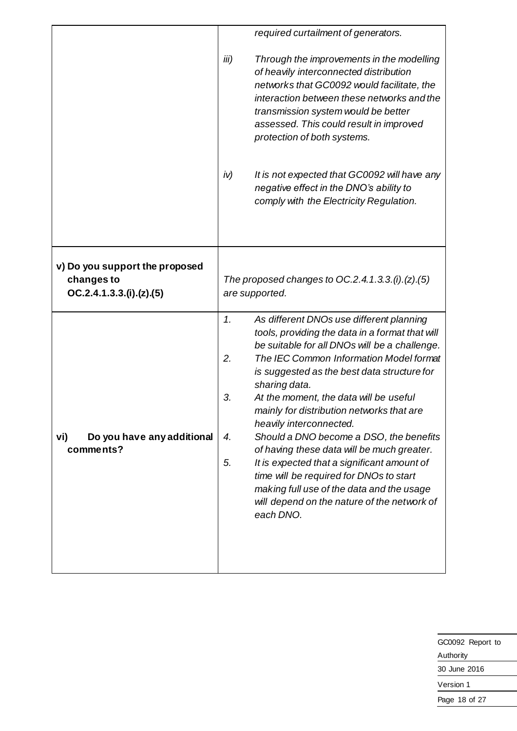|                                                                          | required curtailment of generators.                                                                                                                                                                                                                                                                                                                                                                                                                                                                                                                                                                                                                                                                 |
|--------------------------------------------------------------------------|-----------------------------------------------------------------------------------------------------------------------------------------------------------------------------------------------------------------------------------------------------------------------------------------------------------------------------------------------------------------------------------------------------------------------------------------------------------------------------------------------------------------------------------------------------------------------------------------------------------------------------------------------------------------------------------------------------|
|                                                                          | iii)<br>Through the improvements in the modelling<br>of heavily interconnected distribution<br>networks that GC0092 would facilitate, the<br>interaction between these networks and the<br>transmission system would be better<br>assessed. This could result in improved<br>protection of both systems.                                                                                                                                                                                                                                                                                                                                                                                            |
|                                                                          | iv)<br>It is not expected that GC0092 will have any<br>negative effect in the DNO's ability to<br>comply with the Electricity Regulation.                                                                                                                                                                                                                                                                                                                                                                                                                                                                                                                                                           |
| v) Do you support the proposed<br>changes to<br>OC.2.4.1.3.3.(i).(z).(5) | The proposed changes to $OC.2.4.1.3.3. (i)$ . (z). (5)<br>are supported.                                                                                                                                                                                                                                                                                                                                                                                                                                                                                                                                                                                                                            |
| Do you have any additional<br>vi)<br>comments?                           | 1.<br>As different DNOs use different planning<br>tools, providing the data in a format that will<br>be suitable for all DNOs will be a challenge.<br>2.<br>The IEC Common Information Model format<br>is suggested as the best data structure for<br>sharing data.<br>3.<br>At the moment, the data will be useful<br>mainly for distribution networks that are<br>heavily interconnected.<br>Should a DNO become a DSO, the benefits<br>4.<br>of having these data will be much greater.<br>5.<br>It is expected that a significant amount of<br>time will be required for DNOs to start<br>making full use of the data and the usage<br>will depend on the nature of the network of<br>each DNO. |

| GC0092 Report to |
|------------------|
| Authority        |
| 30 June 2016     |
| Version 1        |
| Page 18 of 27    |
|                  |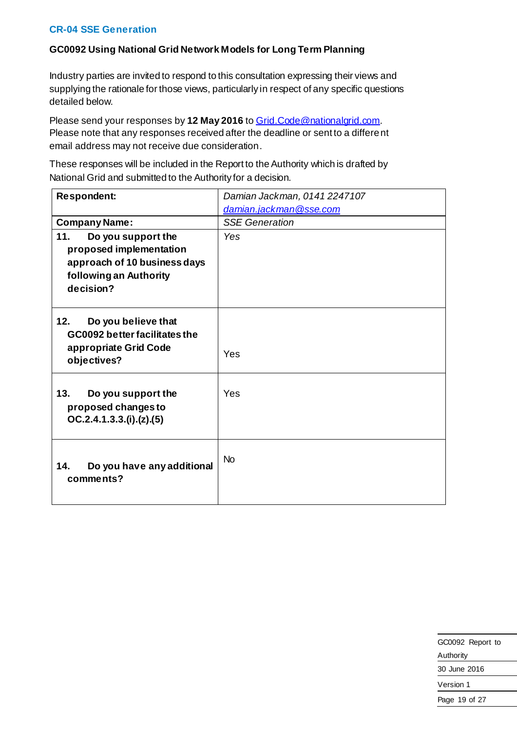#### **CR-04 SSE Generation**

### **GC0092 Using National Grid Network Models for Long Term Planning**

Industry parties are invited to respond to this consultation expressing their views and supplying the rationale for those views, particularly in respect of any specific questions detailed below.

Please send your responses by **12 May 2016** to [Grid.Code@nationalgrid.com](mailto:Grid.Code@nationalgrid.com). Please note that any responses received after the deadline or sent to a different email address may not receive due consideration.

| <b>Respondent:</b>                                                                                  | Damian Jackman, 0141 2247107 |
|-----------------------------------------------------------------------------------------------------|------------------------------|
|                                                                                                     | damian.jackman@sse.com       |
| <b>Company Name:</b>                                                                                | <b>SSE Generation</b>        |
| 11.<br>Do you support the                                                                           | Yes                          |
| proposed implementation                                                                             |                              |
| approach of 10 business days<br>following an Authority                                              |                              |
| decision?                                                                                           |                              |
|                                                                                                     |                              |
| Do you believe that<br>12.<br>GC0092 better facilitates the<br>appropriate Grid Code<br>objectives? | Yes                          |
|                                                                                                     |                              |
| 13.<br>Do you support the<br>proposed changes to<br>OC.2.4.1.3.3.(i). (z). (5)                      | Yes                          |
| Do you have any additional<br>14.<br>comments?                                                      | N <sub>o</sub>               |

| GC0092 Report to |
|------------------|
| Authority        |
| 30 June 2016     |
| Version 1        |
| Page 19 of 27    |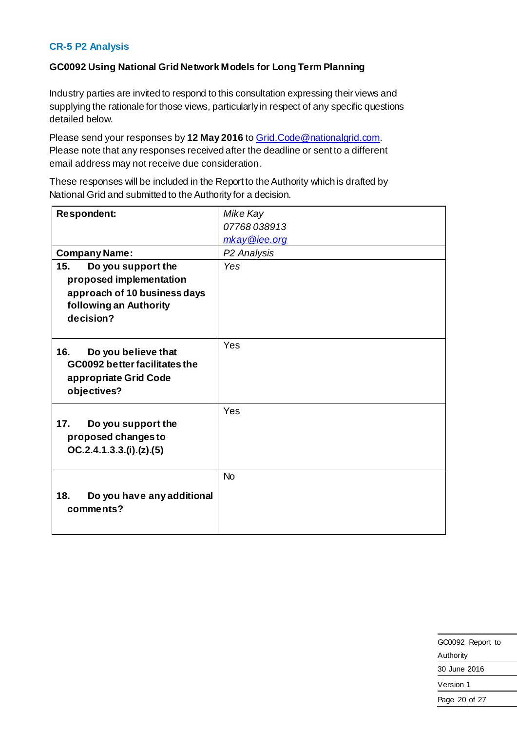### **CR-5 P2 Analysis**

## **GC0092 Using National Grid Network Models for Long Term Planning**

Industry parties are invited to respond to this consultation expressing their views and supplying the rationale for those views, particularly in respect of any specific questions detailed below.

Please send your responses by **12 May 2016** to [Grid.Code@nationalgrid.com](mailto:Grid.Code@nationalgrid.com). Please note that any responses received after the deadline or sent to a different email address may not receive due consideration.

| <b>Respondent:</b>                                                                                                          | Mike Kay                |
|-----------------------------------------------------------------------------------------------------------------------------|-------------------------|
|                                                                                                                             | 07768038913             |
|                                                                                                                             | mkay@iee.org            |
| <b>Company Name:</b>                                                                                                        | P <sub>2</sub> Analysis |
| 15.<br>Do you support the<br>proposed implementation<br>approach of 10 business days<br>following an Authority<br>decision? | Yes                     |
| Do you believe that<br>16.<br>GC0092 better facilitates the<br>appropriate Grid Code<br>objectives?                         | Yes                     |
| 17.<br>Do you support the<br>proposed changes to<br>OC.2.4.1.3.3.(i). (z). (5)                                              | Yes                     |
| 18.<br>Do you have any additional<br>comments?                                                                              | <b>No</b>               |

| GC0092 Report to |
|------------------|
| Authority        |
| 30 June 2016     |
| Version 1        |
| Page 20 of 27    |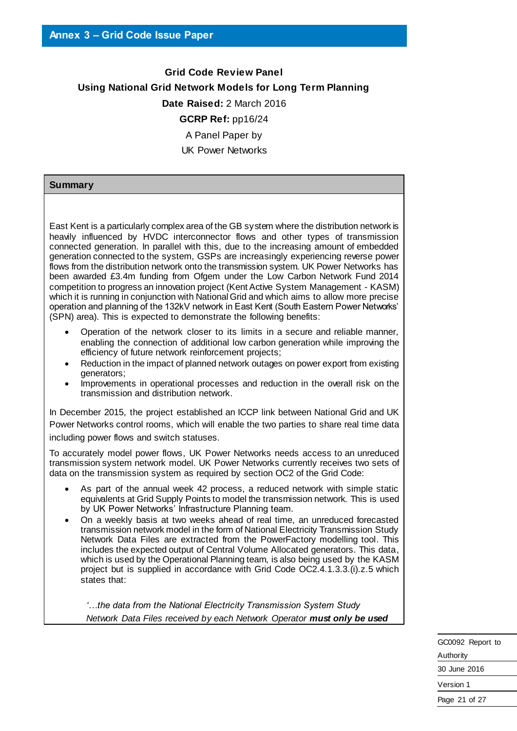# **Grid Code Review Panel Using National Grid Network Models for Long Term Planning Date Raised:** 2 March 2016 **GCRP Ref:** pp16/24 A Panel Paper by UK Power Networks

#### **Summary**

East Kent is a particularly complex area of the GB system where the distribution network is heavily influenced by HVDC interconnector flows and other types of transmission connected generation. In parallel with this, due to the increasing amount of embedded generation connected to the system, GSPs are increasingly experiencing reverse power flows from the distribution network onto the transmission system. UK Power Networks has been awarded £3.4m funding from Ofgem under the Low Carbon Network Fund 2014 competition to progress an innovation project (Kent Active System Management - KASM) which it is running in conjunction with National Grid and which aims to allow more precise operation and planning of the 132kV network in East Kent (South Eastern Power Networks' (SPN) area). This is expected to demonstrate the following benefits:

- Operation of the network closer to its limits in a secure and reliable manner, enabling the connection of additional low carbon generation while improving the efficiency of future network reinforcement projects;
- Reduction in the impact of planned network outages on power export from existing generators;
- Improvements in operational processes and reduction in the overall risk on the transmission and distribution network.

In December 2015, the project established an ICCP link between National Grid and UK Power Networks control rooms, which will enable the two parties to share real time data including power flows and switch statuses.

To accurately model power flows, UK Power Networks needs access to an unreduced transmission system network model. UK Power Networks currently receives two sets of data on the transmission system as required by section OC2 of the Grid Code:

- As part of the annual week 42 process, a reduced network with simple static equivalents at Grid Supply Points to model the transmission network. This is used by UK Power Networks' Infrastructure Planning team.
- On a weekly basis at two weeks ahead of real time, an unreduced forecasted transmission network model in the form of National Electricity Transmission Study Network Data Files are extracted from the PowerFactory modelling tool. This includes the expected output of Central Volume Allocated generators. This data, which is used by the Operational Planning team, is also being used by the KASM project but is supplied in accordance with Grid Code OC2.4.1.3.3.(i).z.5 which states that:

*'…the data from the National Electricity Transmission System Study Network Data Files received by each Network Operator must only be used*

| GC0092 Report to |
|------------------|
| Authority        |
| 30 June 2016     |
| Version 1        |
| Page 21 of 27    |
|                  |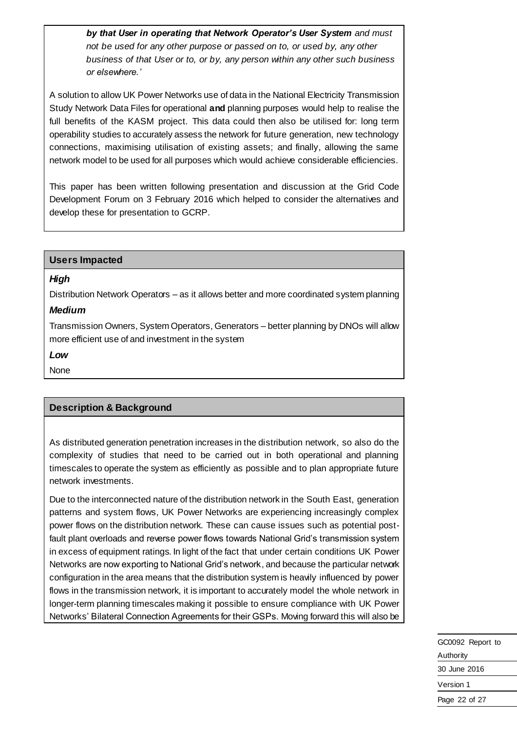*by that User in operating that Network Operator's User System and must not be used for any other purpose or passed on to, or used by, any other business of that User or to, or by, any person within any other such business or elsewhere.'* 

A solution to allow UK Power Networks use of data in the National Electricity Transmission Study Network Data Files for operational **and** planning purposes would help to realise the full benefits of the KASM project. This data could then also be utilised for: long term operability studies to accurately assess the network for future generation, new technology connections, maximising utilisation of existing assets; and finally, allowing the same network model to be used for all purposes which would achieve considerable efficiencies.

This paper has been written following presentation and discussion at the Grid Code Development Forum on 3 February 2016 which helped to consider the alternatives and develop these for presentation to GCRP.

#### **Users Impacted**

#### *High*

Distribution Network Operators – as it allows better and more coordinated system planning

# *Medium*

Transmission Owners, System Operators, Generators – better planning by DNOs will allow more efficient use of and investment in the system

#### *Low*

None

# **Description & Background**

As distributed generation penetration increases in the distribution network, so also do the complexity of studies that need to be carried out in both operational and planning timescales to operate the system as efficiently as possible and to plan appropriate future network investments.

Due to the interconnected nature of the distribution network in the South East, generation patterns and system flows, UK Power Networks are experiencing increasingly complex power flows on the distribution network. These can cause issues such as potential postfault plant overloads and reverse power flows towards National Grid's transmission system in excess of equipment ratings. In light of the fact that under certain conditions UK Power Networks are now exporting to National Grid's network, and because the particular network configuration in the area means that the distribution system is heavily influenced by power flows in the transmission network, it is important to accurately model the whole network in longer-term planning timescales making it possible to ensure compliance with UK Power Networks' Bilateral Connection Agreements for their GSPs. Moving forward this will also be

| GC0092 Report to |
|------------------|
| Authority        |
| 30 June 2016     |
| Version 1        |
| Page 22 of 27    |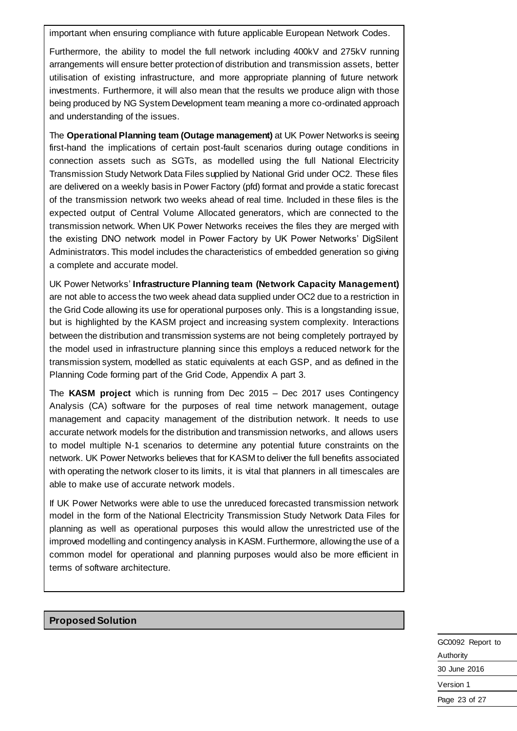important when ensuring compliance with future applicable European Network Codes.

Furthermore, the ability to model the full network including 400kV and 275kV running arrangements will ensure better protection of distribution and transmission assets, better utilisation of existing infrastructure, and more appropriate planning of future network investments. Furthermore, it will also mean that the results we produce align with those being produced by NG System Development team meaning a more co-ordinated approach and understanding of the issues.

The **Operational Planning team (Outage management)** at UK Power Networks is seeing first-hand the implications of certain post-fault scenarios during outage conditions in connection assets such as SGTs, as modelled using the full National Electricity Transmission Study Network Data Files supplied by National Grid under OC2. These files are delivered on a weekly basis in Power Factory (pfd) format and provide a static forecast of the transmission network two weeks ahead of real time. Included in these files is the expected output of Central Volume Allocated generators, which are connected to the transmission network. When UK Power Networks receives the files they are merged with the existing DNO network model in Power Factory by UK Power Networks' DigSilent Administrators. This model includes the characteristics of embedded generation so giving a complete and accurate model.

UK Power Networks' **Infrastructure Planning team (Network Capacity Management)** are not able to access the two week ahead data supplied under OC2 due to a restriction in the Grid Code allowing its use for operational purposes only. This is a longstanding issue, but is highlighted by the KASM project and increasing system complexity. Interactions between the distribution and transmission systems are not being completely portrayed by the model used in infrastructure planning since this employs a reduced network for the transmission system, modelled as static equivalents at each GSP, and as defined in the Planning Code forming part of the Grid Code, Appendix A part 3.

The **KASM project** which is running from Dec 2015 – Dec 2017 uses Contingency Analysis (CA) software for the purposes of real time network management, outage management and capacity management of the distribution network. It needs to use accurate network models for the distribution and transmission networks, and allows users to model multiple N-1 scenarios to determine any potential future constraints on the network. UK Power Networks believes that for KASM to deliver the full benefits associated with operating the network closer to its limits, it is vital that planners in all timescales are able to make use of accurate network models.

If UK Power Networks were able to use the unreduced forecasted transmission network model in the form of the National Electricity Transmission Study Network Data Files for planning as well as operational purposes this would allow the unrestricted use of the improved modelling and contingency analysis in KASM. Furthermore, allowing the use of a common model for operational and planning purposes would also be more efficient in terms of software architecture.

**Proposed Solution**

GC0092 Report to Authority 30 June 2016 Version 1 Page 23 of 27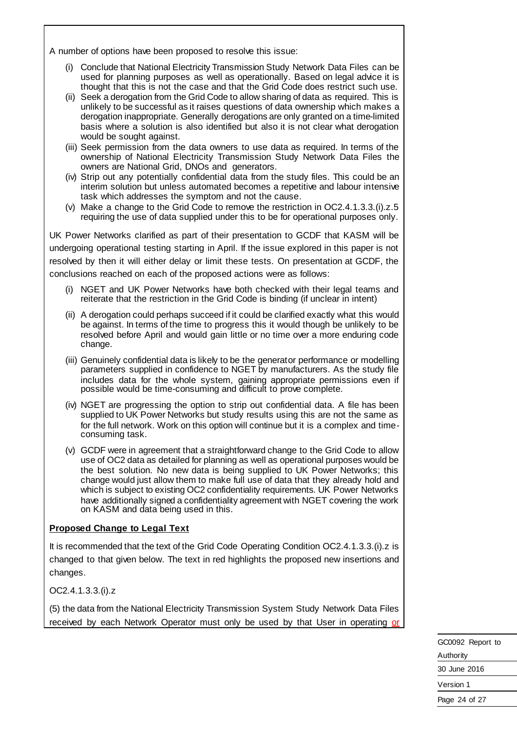A number of options have been proposed to resolve this issue:

- (i) Conclude that National Electricity Transmission Study Network Data Files can be used for planning purposes as well as operationally. Based on legal advice it is thought that this is not the case and that the Grid Code does restrict such use.
- (ii) Seek a derogation from the Grid Code to allow sharing of data as required. This is unlikely to be successful as it raises questions of data ownership which makes a derogation inappropriate. Generally derogations are only granted on a time-limited basis where a solution is also identified but also it is not clear what derogation would be sought against.
- (iii) Seek permission from the data owners to use data as required. In terms of the ownership of National Electricity Transmission Study Network Data Files the owners are National Grid, DNOs and generators.
- (iv) Strip out any potentially confidential data from the study files. This could be an interim solution but unless automated becomes a repetitive and labour intensive task which addresses the symptom and not the cause.
- (v) Make a change to the Grid Code to remove the restriction in OC2.4.1.3.3.(i).z.5 requiring the use of data supplied under this to be for operational purposes only.

UK Power Networks clarified as part of their presentation to GCDF that KASM will be undergoing operational testing starting in April. If the issue explored in this paper is not resolved by then it will either delay or limit these tests. On presentation at GCDF, the conclusions reached on each of the proposed actions were as follows:

- (i) NGET and UK Power Networks have both checked with their legal teams and reiterate that the restriction in the Grid Code is binding (if unclear in intent)
- (ii) A derogation could perhaps succeed if it could be clarified exactly what this would be against. In terms of the time to progress this it would though be unlikely to be resolved before April and would gain little or no time over a more enduring code change.
- (iii) Genuinely confidential data is likely to be the generator performance or modelling parameters supplied in confidence to NGET by manufacturers. As the study file includes data for the whole system, gaining appropriate permissions even if possible would be time-consuming and difficult to prove complete.
- (iv) NGET are progressing the option to strip out confidential data. A file has been supplied to UK Power Networks but study results using this are not the same as for the full network. Work on this option will continue but it is a complex and timeconsuming task.
- (v) GCDF were in agreement that a straightforward change to the Grid Code to allow use of OC2 data as detailed for planning as well as operational purposes would be the best solution. No new data is being supplied to UK Power Networks; this change would just allow them to make full use of data that they already hold and which is subject to existing OC2 confidentiality requirements. UK Power Networks have additionally signed a confidentiality agreement with NGET covering the work on KASM and data being used in this.

#### **Proposed Change to Legal Text**

It is recommended that the text of the Grid Code Operating Condition OC2.4.1.3.3.(i).z is changed to that given below. The text in red highlights the proposed new insertions and changes.

OC2.4.1.3.3.(i).z

(5) the data from the National Electricity Transmission System Study Network Data Files received by each Network Operator must only be used by that User in operating or

| GC0092 Report to |  |
|------------------|--|
| Authority        |  |
| 30 June 2016     |  |
| Version 1        |  |
| Page 24 of 27    |  |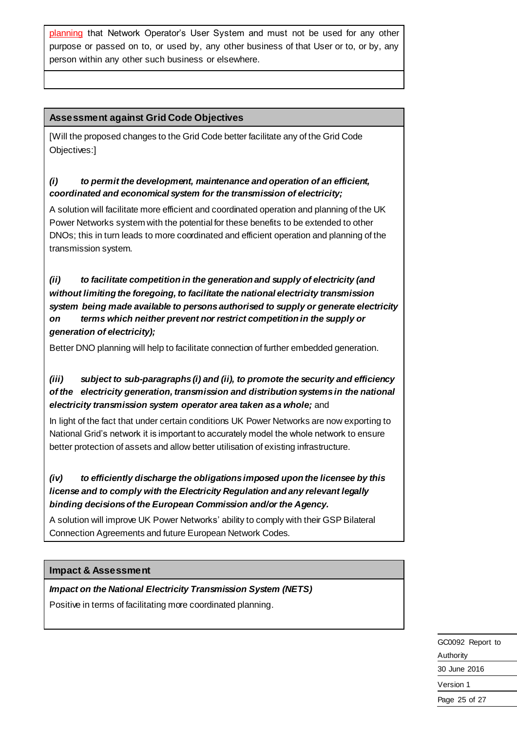planning that Network Operator's User System and must not be used for any other purpose or passed on to, or used by, any other business of that User or to, or by, any person within any other such business or elsewhere.

# **Assessment against Grid Code Objectives**

[Will the proposed changes to the Grid Code better facilitate any of the Grid Code Objectives:]

# *(i) to permit the development, maintenance and operation of an efficient, coordinated and economical system for the transmission of electricity;*

A solution will facilitate more efficient and coordinated operation and planning of the UK Power Networks system with the potential for these benefits to be extended to other DNOs; this in turn leads to more coordinated and efficient operation and planning of the transmission system.

*(ii) to facilitate competition in the generation and supply of electricity (and without limiting the foregoing, to facilitate the national electricity transmission system being made available to persons authorised to supply or generate electricity on terms which neither prevent nor restrict competition in the supply or generation of electricity);*

Better DNO planning will help to facilitate connection of further embedded generation.

# *(iii) subject to sub-paragraphs (i) and (ii), to promote the security and efficiency of the electricity generation, transmission and distribution systems in the national electricity transmission system operator area taken as a whole;* and

In light of the fact that under certain conditions UK Power Networks are now exporting to National Grid's network it is important to accurately model the whole network to ensure better protection of assets and allow better utilisation of existing infrastructure.

# *(iv) to efficiently discharge the obligations imposed upon the licensee by this license and to comply with the Electricity Regulation and any relevant legally binding decisions of the European Commission and/or the Agency.*

A solution will improve UK Power Networks' ability to comply with their GSP Bilateral Connection Agreements and future European Network Codes.

#### **Impact & Assessment**

#### *Impact on the National Electricity Transmission System (NETS)*

Positive in terms of facilitating more coordinated planning.

GC0092 Report to Authority 30 June 2016 Version 1 Page 25 of 27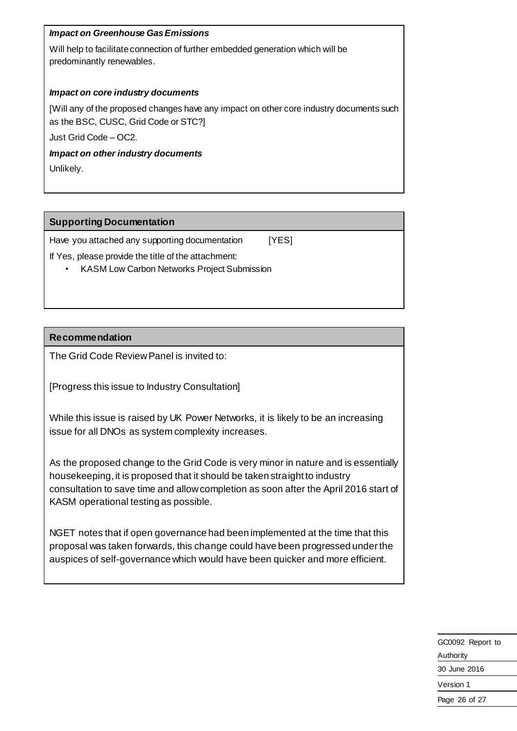### *Impact on Greenhouse Gas Emissions*

Will help to facilitate connection of further embedded generation which will be predominantly renewables.

#### *Impact on core industry documents*

[Will any of the proposed changes have any impact on other core industry documents such as the BSC, CUSC, Grid Code or STC?]

Just Grid Code – OC2.

#### *Impact on other industry documents*

Unlikely.

### **Supporting Documentation**

Have you attached any supporting documentation [YES]

If Yes, please provide the title of the attachment:

• KASM Low Carbon Networks Project Submission

# **Recommendation**

The Grid Code Review Panel is invited to:

[Progress this issue to Industry Consultation]

While this issue is raised by UK Power Networks, it is likely to be an increasing issue for all DNOs as system complexity increases.

As the proposed change to the Grid Code is very minor in nature and is essentially housekeeping, it is proposed that it should be taken straight to industry consultation to save time and allow completion as soon after the April 2016 start of KASM operational testing as possible.

NGET notes that if open governance had been implemented at the time that this proposal was taken forwards, this change could have been progressed under the auspices of self-governance which would have been quicker and more efficient.

| GC0092 Report to |
|------------------|
| Authority        |
| 30 June 2016     |
| Version 1        |
| Page 26 of 27    |